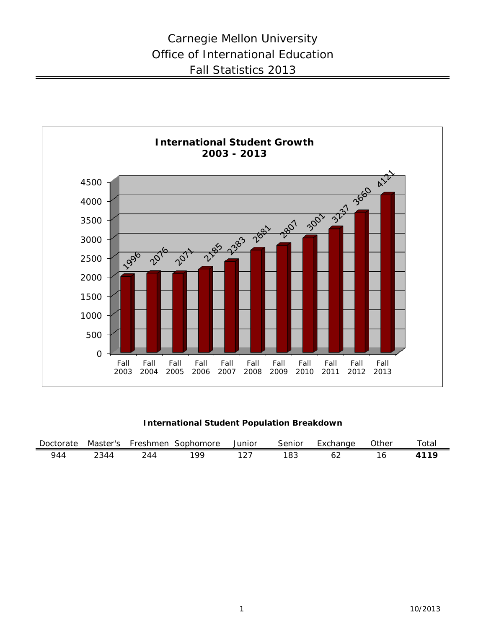

### **International Student Population Breakdown**

| Doctorate |       |     | Master's Freshmen Sophomore | Junior | Senior | Exchange | Other | $\tau$ otal |
|-----------|-------|-----|-----------------------------|--------|--------|----------|-------|-------------|
| 944       | າ 344 | 744 | 100                         |        | 183    |          |       |             |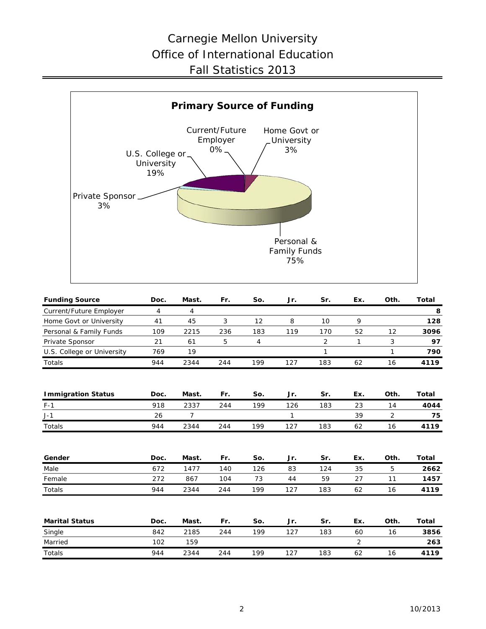## Carnegie Mellon University Office of International Education Fall Statistics 2013



| <b>Funding Source</b>      | Doc.           | Mast.          | Fr. | So. | Jr. | Sr.            | Ex.            | Oth. | Total |
|----------------------------|----------------|----------------|-----|-----|-----|----------------|----------------|------|-------|
| Current/Future Employer    | $\overline{4}$ | 4              |     |     |     |                |                |      | 8     |
| Home Govt or University    | 41             | 45             | 3   | 12  | 8   | 10             | 9              |      | 128   |
| Personal & Family Funds    | 109            | 2215           | 236 | 183 | 119 | 170            | 52             | 12   | 3096  |
| Private Sponsor            | 21             | 61             | 5   | 4   |     | $\overline{2}$ | 1              | 3    | 97    |
| U.S. College or University | 769            | 19             |     |     |     | 1              |                | 1    | 790   |
| Totals                     | 944            | 2344           | 244 | 199 | 127 | 183            | 62             | 16   | 4119  |
| <b>Immigration Status</b>  | Doc.           | Mast.          | Fr. | So. | Jr. | Sr.            | Ex.            | Oth. | Total |
| $F-1$                      | 918            | 2337           | 244 | 199 | 126 | 183            | 23             | 14   | 4044  |
| $J-1$                      | 26             | $\overline{7}$ |     |     | 1   |                | 39             | 2    | 75    |
| Totals                     | 944            | 2344           | 244 | 199 | 127 | 183            | 62             | 16   | 4119  |
| Gender                     | Doc.           | Mast.          | Fr. | So. | Jr. | Sr.            | Ex.            | Oth. | Total |
| Male                       | 672            | 1477           | 140 | 126 | 83  | 124            | 35             | 5    | 2662  |
| Female                     | 272            | 867            | 104 | 73  | 44  | 59             | 27             | 11   | 1457  |
| <b>Totals</b>              | 944            | 2344           | 244 | 199 | 127 | 183            | 62             | 16   | 4119  |
| <b>Marital Status</b>      | Doc.           | Mast.          | Fr. | So. | Jr. | Sr.            | Ex.            | Oth. | Total |
| Single                     | 842            | 2185           | 244 | 199 | 127 | 183            | 60             | 16   | 3856  |
| Married                    | 102            | 159            |     |     |     |                | $\overline{2}$ |      | 263   |
| Totals                     | 944            | 2344           | 244 | 199 | 127 | 183            | 62             | 16   | 4119  |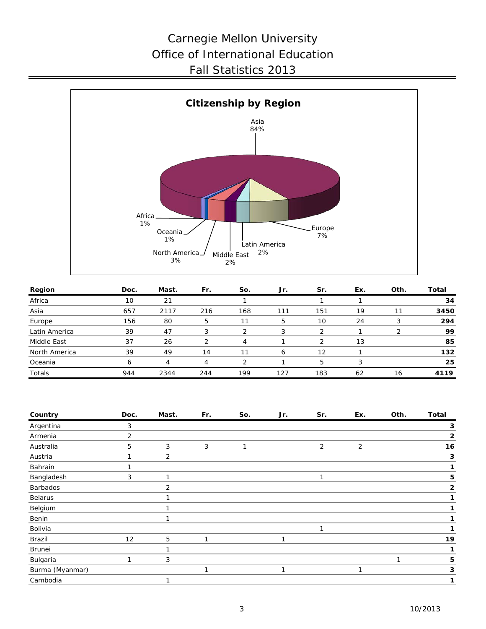## Carnegie Mellon University Office of International Education Fall Statistics 2013



| Region        | Doc. | Mast. | Fr. | So. | Jr. | Sr. | Ex. | Oth. | Total |
|---------------|------|-------|-----|-----|-----|-----|-----|------|-------|
| Africa        | 10   | 21    |     |     |     |     |     |      | 34    |
| Asia          | 657  | 2117  | 216 | 168 | 111 | 151 | 19  |      | 3450  |
| Europe        | 156  | 80    | 5   | 11  | 5   | 10  | 24  |      | 294   |
| Latin America | 39   | 47    |     |     | 3   |     |     |      | 99    |
| Middle East   | 37   | 26    | っ   | 4   |     | っ   | 13  |      | 85    |
| North America | 39   | 49    | 14  | 11  | 6   | 12  |     |      | 132   |
| Oceania       | 6    | 4     | 4   |     |     | 5   | 3   |      | 25    |
| Totals        | 944  | 2344  | 244 | 199 | 127 | 183 | 62  | 16   | 4119  |

| Country         | Doc. | Mast.                    | Fr. | So. | Jr. | Sr. | Ex.            | Oth. | <b>Total</b>   |
|-----------------|------|--------------------------|-----|-----|-----|-----|----------------|------|----------------|
| Argentina       | 3    |                          |     |     |     |     |                |      | 3              |
| Armenia         | 2    |                          |     |     |     |     |                |      | $\mathbf{2}$   |
| Australia       | 5    | 3                        | 3   | 1   |     | 2   | $\overline{2}$ |      | 16             |
| Austria         |      | $\overline{2}$           |     |     |     |     |                |      | 3              |
| Bahrain         |      |                          |     |     |     |     |                |      | 1              |
| Bangladesh      | 3    | 1                        |     |     |     | 1   |                |      | 5              |
| Barbados        |      | $\overline{2}$           |     |     |     |     |                |      | $\overline{2}$ |
| <b>Belarus</b>  |      | 1                        |     |     |     |     |                |      |                |
| Belgium         |      |                          |     |     |     |     |                |      |                |
| Benin           |      | $\overline{\phantom{a}}$ |     |     |     |     |                |      |                |
| Bolivia         |      |                          |     |     |     | 1   |                |      |                |
| Brazil          | 12   | 5                        | 1   |     | 1   |     |                |      | 19             |
| Brunei          |      |                          |     |     |     |     |                |      |                |
| Bulgaria        | 1    | 3                        |     |     |     |     |                | 1    | 5              |
| Burma (Myanmar) |      |                          | 1   |     | 1   |     | 1              |      | 3              |
| Cambodia        |      | 1                        |     |     |     |     |                |      | 1              |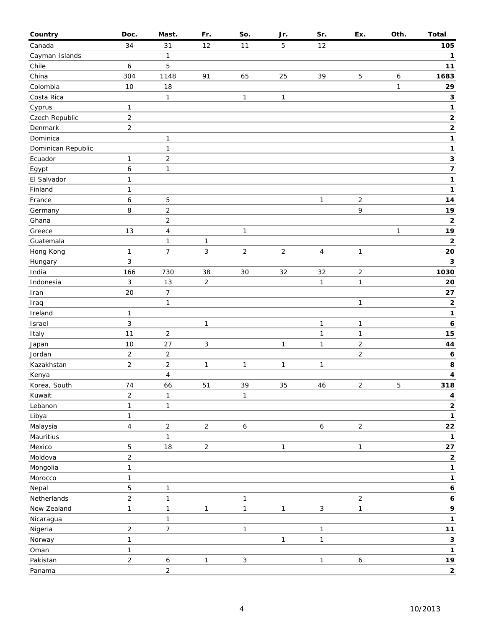| Country            | Doc.           | Mast.                   | Fr.            | So.              | Jr.            | Sr.            | Ex.                     | Oth.         | <b>Total</b>            |
|--------------------|----------------|-------------------------|----------------|------------------|----------------|----------------|-------------------------|--------------|-------------------------|
| Canada             | 34             | 31                      | 12             | 11               | 5              | 12             |                         |              | 105                     |
| Cayman Islands     |                | $\mathbf{1}$            |                |                  |                |                |                         |              | $\mathbf{1}$            |
| Chile              | 6              | 5                       |                |                  |                |                |                         |              | $11$                    |
| China              | 304            | 1148                    | 91             | 65               | 25             | 39             | 5                       | 6            | 1683                    |
| Colombia           | 10             | 18                      |                |                  |                |                |                         | $\mathbf{1}$ | 29                      |
| Costa Rica         |                | 1                       |                | $\mathbf{1}$     | $\mathbf{1}$   |                |                         |              | 3                       |
| Cyprus             | $\mathbf{1}$   |                         |                |                  |                |                |                         |              | 1                       |
| Czech Republic     | $\overline{c}$ |                         |                |                  |                |                |                         |              | $\mathbf 2$             |
| Denmark            | $\overline{c}$ |                         |                |                  |                |                |                         |              | $\mathbf 2$             |
| Dominica           |                | 1                       |                |                  |                |                |                         |              | 1                       |
| Dominican Republic |                | $\mathbf{1}$            |                |                  |                |                |                         |              | 1                       |
| Ecuador            | 1              | $\overline{c}$          |                |                  |                |                |                         |              | 3                       |
| Egypt              | 6              | $\mathbf{1}$            |                |                  |                |                |                         |              | $\overline{\mathbf{z}}$ |
| El Salvador        | $\mathbf{1}$   |                         |                |                  |                |                |                         |              | 1                       |
| Finland            | 1              |                         |                |                  |                |                |                         |              | 1                       |
| France             | 6              | 5                       |                |                  |                | $\mathbf{1}$   | $\overline{2}$          |              | 14                      |
| Germany            | 8              | $\overline{c}$          |                |                  |                |                | 9                       |              | 19                      |
| Ghana              |                | $\overline{c}$          |                |                  |                |                |                         |              | $\mathbf 2$             |
| Greece             | 13             | $\overline{\mathbf{4}}$ |                | $\mathbf{1}$     |                |                |                         | 1            | 19                      |
| Guatemala          |                | $\mathbf{1}$            | $\mathbf{1}$   |                  |                |                |                         |              | $\overline{\mathbf{2}}$ |
| Hong Kong          | $\mathbf{1}$   | $\overline{7}$          | 3              | $\overline{2}$   | $\overline{2}$ | $\overline{4}$ | $\mathbf{1}$            |              | 20                      |
| Hungary            | 3              |                         |                |                  |                |                |                         |              | 3                       |
| India              | 166            | 730                     | 38             | 30               | 32             | 32             | $\overline{c}$          |              | 1030                    |
| Indonesia          | 3              | 13                      | $\overline{c}$ |                  |                | $\mathbf{1}$   | $\mathbf{1}$            |              | 20                      |
| Iran               | 20             | $\boldsymbol{7}$        |                |                  |                |                |                         |              | 27                      |
| Iraq               |                | $\mathbf{1}$            |                |                  |                |                | $\mathbf{1}$            |              | 2                       |
| Ireland            | 1              |                         |                |                  |                |                |                         |              | 1                       |
| Israel             | 3              |                         | 1              |                  |                | 1              | $\mathbf{1}$            |              | 6                       |
| Italy              | 11             | $\overline{c}$          |                |                  |                | 1              | $\mathbf{1}$            |              | 15                      |
| Japan              | 10             | 27                      | 3              |                  | $\mathbf{1}$   | $\mathbf{1}$   | $\overline{\mathbf{c}}$ |              | 44                      |
| Jordan             | $\overline{2}$ | $\overline{c}$          |                |                  |                |                | $\overline{2}$          |              | 6                       |
| Kazakhstan         | $\overline{2}$ | $\overline{c}$          | 1              | $\mathbf{1}$     | $\mathbf{1}$   | $\mathbf{1}$   |                         |              | 8                       |
| Kenya              |                | 4                       |                |                  |                |                |                         |              | $\overline{\mathbf{4}}$ |
| Korea, South       | 74             | 66                      | 51             | 39               | 35             | 46             | $\overline{c}$          | 5            | 318                     |
| Kuwait             | $\overline{c}$ | $\mathbf{1}$            |                | $\mathbf{1}$     |                |                |                         |              | 4                       |
| Lebanon            | $\mathbf{1}$   | $\mathbf{1}$            |                |                  |                |                |                         |              | $\mathbf 2$             |
| Libya              | $\mathbf{1}$   |                         |                |                  |                |                |                         |              | 1                       |
| Malaysia           | $\overline{4}$ | $\overline{\mathbf{c}}$ | $\overline{2}$ | $\boldsymbol{6}$ |                | $\epsilon$     | $\overline{a}$          |              | ${\bf 22}$              |
| Mauritius          |                | $\mathbf{1}$            |                |                  |                |                |                         |              | 1                       |
| Mexico             | 5              | 18                      | $\overline{2}$ |                  | $\mathbf{1}$   |                | $\mathbf{1}$            |              | 27                      |
| Moldova            | $\overline{2}$ |                         |                |                  |                |                |                         |              | 2                       |
| Mongolia           | $\mathbf{1}$   |                         |                |                  |                |                |                         |              | 1                       |
| Morocco            | $\mathbf{1}$   |                         |                |                  |                |                |                         |              | 1                       |
| Nepal              | 5              | $\mathbf{1}$            |                |                  |                |                |                         |              | $\boldsymbol{6}$        |
| Netherlands        | $\overline{2}$ | $\mathbf{1}$            |                | $\mathbf{1}$     |                |                | $\overline{2}$          |              | 6                       |
| New Zealand        | $\mathbf{1}$   | $\mathbf{1}$            | 1              | $\mathbf{1}$     | $\mathbf{1}$   | $\mathbf{3}$   | $\mathbf{1}$            |              | 9                       |
| Nicaragua          |                | $\mathbf{1}$            |                |                  |                |                |                         |              | 1                       |
| Nigeria            | $\overline{2}$ | $\overline{7}$          |                | $\mathbf{1}$     |                | 1              |                         |              | $11$                    |
| Norway             | $\mathbf{1}$   |                         |                |                  | $\mathbf{1}$   | $\mathbf{1}$   |                         |              | $\mathbf 3$             |
| Oman               | 1              |                         |                |                  |                |                |                         |              | 1                       |
| Pakistan           | $\overline{2}$ | 6                       | $\mathbf{1}$   | $\mathbf{3}$     |                | $\mathbf{1}$   | $\boldsymbol{6}$        |              | <u>19</u>               |
| Panama             |                | $\overline{c}$          |                |                  |                |                |                         |              | $\mathbf{2}$            |
|                    |                |                         |                |                  |                |                |                         |              |                         |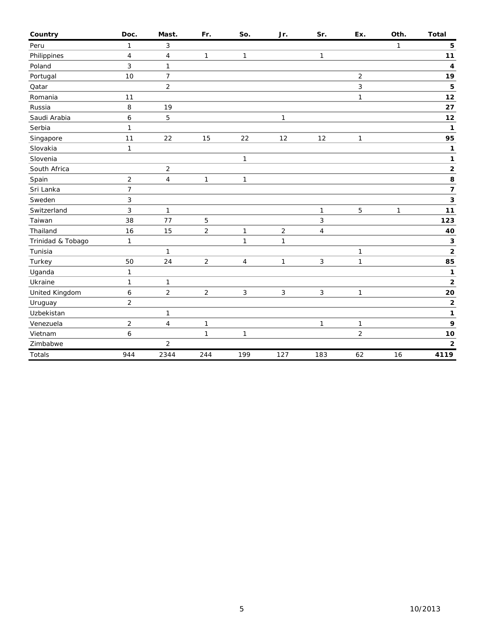| Country           | Doc.             | Mast.                   | Fr.            | So.          | Jr.          | Sr.            | Ex.            | Oth.         | <b>Total</b>            |
|-------------------|------------------|-------------------------|----------------|--------------|--------------|----------------|----------------|--------------|-------------------------|
| Peru              | $\mathbf{1}$     | 3                       |                |              |              |                |                | 1            | 5                       |
| Philippines       | $\overline{4}$   | 4                       | 1              | 1            |              | $\mathbf{1}$   |                |              | 11                      |
| Poland            | $\mathfrak{Z}$   | 1                       |                |              |              |                |                |              | 4                       |
| Portugal          | 10               | $\overline{7}$          |                |              |              |                | $\overline{c}$ |              | 19                      |
| Qatar             |                  | $\overline{2}$          |                |              |              |                | 3              |              | 5                       |
| Romania           | 11               |                         |                |              |              |                | 1              |              | 12                      |
| Russia            | 8                | 19                      |                |              |              |                |                |              | 27                      |
| Saudi Arabia      | $\boldsymbol{6}$ | 5                       |                |              | $\mathbf{1}$ |                |                |              | 12                      |
| Serbia            | 1                |                         |                |              |              |                |                |              | 1                       |
| Singapore         | 11               | 22                      | 15             | 22           | 12           | 12             | 1              |              | 95                      |
| Slovakia          | $\mathbf{1}$     |                         |                |              |              |                |                |              | 1                       |
| Slovenia          |                  |                         |                | 1            |              |                |                |              | 1                       |
| South Africa      |                  | $\overline{c}$          |                |              |              |                |                |              | $\mathbf 2$             |
| Spain             | $\overline{2}$   | $\overline{\mathbf{4}}$ | 1              | 1            |              |                |                |              | 8                       |
| Sri Lanka         | $\overline{7}$   |                         |                |              |              |                |                |              | $\overline{\mathbf{z}}$ |
| Sweden            | 3                |                         |                |              |              |                |                |              | 3                       |
| Switzerland       | 3                | $\mathbf{1}$            |                |              |              | $\mathbf{1}$   | 5              | $\mathbf{1}$ | 11                      |
| Taiwan            | 38               | 77                      | 5              |              |              | 3              |                |              | 123                     |
| Thailand          | 16               | 15                      | $\overline{c}$ | 1            | $\sqrt{2}$   | 4              |                |              | 40                      |
| Trinidad & Tobago | 1                |                         |                | $\mathbf{1}$ | $\mathbf{1}$ |                |                |              | 3                       |
| Tunisia           |                  | 1                       |                |              |              |                | 1              |              | $\mathbf 2$             |
| Turkey            | 50               | 24                      | $\overline{c}$ | 4            | $\mathbf{1}$ | $\mathfrak{Z}$ | 1              |              | 85                      |
| Uganda            | 1                |                         |                |              |              |                |                |              | $\mathbf{1}$            |
| Ukraine           | 1                | $\mathbf{1}$            |                |              |              |                |                |              | $\mathbf 2$             |
| United Kingdom    | 6                | $\overline{2}$          | $\overline{2}$ | $\mathbf{3}$ | $\mathbf{3}$ | $\mathfrak{Z}$ | 1              |              | 20                      |
| Uruguay           | $\overline{2}$   |                         |                |              |              |                |                |              | $\mathbf{2}$            |
| Uzbekistan        |                  | $\mathbf{1}$            |                |              |              |                |                |              | 1                       |
| Venezuela         | $\overline{2}$   | 4                       | 1              |              |              | $\mathbf{1}$   | 1              |              | 9                       |
| Vietnam           | 6                |                         | $\mathbf{1}$   | $\mathbf{1}$ |              |                | $\overline{c}$ |              | $10$                    |
| Zimbabwe          |                  | $\overline{c}$          |                |              |              |                |                |              | 2                       |
| Totals            | 944              | 2344                    | 244            | 199          | 127          | 183            | 62             | 16           | 4119                    |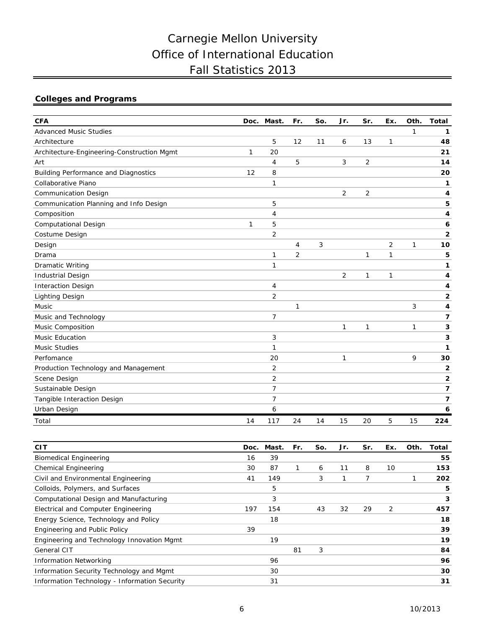# Carnegie Mellon University Office of International Education Fall Statistics 2013

## **Colleges and Programs**

| <b>CFA</b>                                  |    | Doc. Mast.     | Fr.            | So. | Jr.            | Sr.            | Ex. | Oth. | <b>Total</b> |
|---------------------------------------------|----|----------------|----------------|-----|----------------|----------------|-----|------|--------------|
| <b>Advanced Music Studies</b>               |    |                |                |     |                |                |     | 1    | 1            |
| Architecture                                |    | 5              | 12             | 11  | 6              | 13             | 1   |      | 48           |
| Architecture-Engineering-Construction Mgmt  | 1  | 20             |                |     |                |                |     |      | 21           |
| Art                                         |    | 4              | 5              |     | 3              | 2              |     |      | 14           |
| <b>Building Performance and Diagnostics</b> | 12 | 8              |                |     |                |                |     |      | 20           |
| Collaborative Piano                         |    | 1              |                |     |                |                |     |      | 1            |
| <b>Communication Design</b>                 |    |                |                |     | $\overline{2}$ | $\overline{2}$ |     |      | 4            |
| Communication Planning and Info Design      |    | 5              |                |     |                |                |     |      | 5            |
| Composition                                 |    | 4              |                |     |                |                |     |      | 4            |
| Computational Design                        | 1  | 5              |                |     |                |                |     |      | 6            |
| Costume Design                              |    | 2              |                |     |                |                |     |      | 2            |
| Design                                      |    |                | 4              | 3   |                |                | 2   | 1    | 10           |
| Drama                                       |    | 1              | $\overline{2}$ |     |                | 1              | 1   |      | 5            |
| <b>Dramatic Writing</b>                     |    | 1              |                |     |                |                |     |      | 1            |
| <b>Industrial Design</b>                    |    |                |                |     | $\overline{2}$ | 1              | 1   |      | 4            |
| <b>Interaction Design</b>                   |    | 4              |                |     |                |                |     |      | 4            |
| <b>Lighting Design</b>                      |    | $\overline{2}$ |                |     |                |                |     |      | 2            |
| Music                                       |    |                | 1              |     |                |                |     | 3    | 4            |
| Music and Technology                        |    | $\overline{7}$ |                |     |                |                |     |      | 7            |
| Music Composition                           |    |                |                |     | 1              | 1              |     | 1    | 3            |
| <b>Music Education</b>                      |    | 3              |                |     |                |                |     |      | 3            |
| <b>Music Studies</b>                        |    | 1              |                |     |                |                |     |      | 1            |
| Perfomance                                  |    | 20             |                |     | 1              |                |     | 9    | 30           |
| Production Technology and Management        |    | 2              |                |     |                |                |     |      | 2            |
| Scene Design                                |    | 2              |                |     |                |                |     |      | 2            |
| Sustainable Design                          |    | 7              |                |     |                |                |     |      | 7            |
| Tangible Interaction Design                 |    | 7              |                |     |                |                |     |      | 7            |
| Urban Design                                |    | 6              |                |     |                |                |     |      | 6            |
| Total                                       | 14 | 117            | 24             | 14  | 15             | 20             | 5   | 15   | 224          |

| <b>CIT</b>                                    | Doc. | Mast. | Fr. | So. | Jr. | Sr. | Ex. | Oth. | Total |
|-----------------------------------------------|------|-------|-----|-----|-----|-----|-----|------|-------|
| <b>Biomedical Engineering</b>                 | 16   | 39    |     |     |     |     |     |      | 55    |
| Chemical Engineering                          | 30   | 87    |     | 6   | 11  | 8   | 10  |      | 153   |
| Civil and Environmental Engineering           | 41   | 149   |     | 3   |     | 7   |     |      | 202   |
| Colloids, Polymers, and Surfaces              |      | 5     |     |     |     |     |     |      | 5     |
| Computational Design and Manufacturing        |      | 3     |     |     |     |     |     |      | 3     |
| Electrical and Computer Engineering           | 197  | 154   |     | 43  | 32  | 29  | 2   |      | 457   |
| Energy Science, Technology and Policy         |      | 18    |     |     |     |     |     |      | 18    |
| Engineering and Public Policy                 | 39   |       |     |     |     |     |     |      | 39    |
| Engineering and Technology Innovation Mgmt    |      | 19    |     |     |     |     |     |      | 19    |
| General CIT                                   |      |       | 81  | 3   |     |     |     |      | 84    |
| <b>Information Networking</b>                 |      | 96    |     |     |     |     |     |      | 96    |
| Information Security Technology and Mgmt      |      | 30    |     |     |     |     |     |      | 30    |
| Information Technology - Information Security |      | 31    |     |     |     |     |     |      | 31    |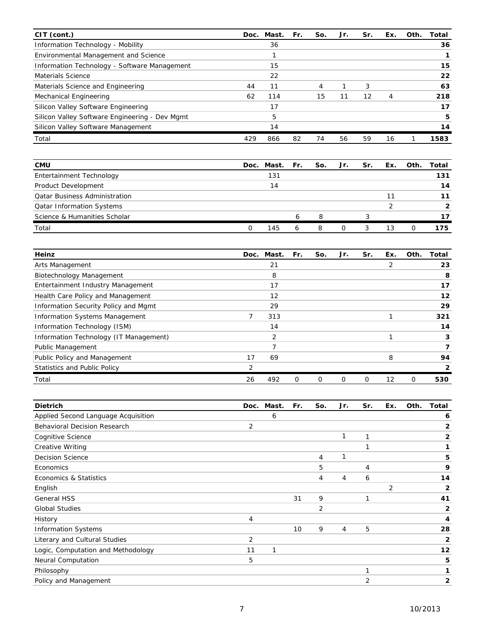| CIT (cont.)                                    | Doc. | Mast. | Fr. | So. | Jr. | Sr. | Ex. | Oth. | Total |
|------------------------------------------------|------|-------|-----|-----|-----|-----|-----|------|-------|
| Information Technology - Mobility              |      | 36    |     |     |     |     |     |      | 36    |
| Environmental Management and Science           |      |       |     |     |     |     |     |      |       |
| Information Technology - Software Management   |      | 15    |     |     |     |     |     |      | 15    |
| Materials Science                              |      | 22    |     |     |     |     |     |      | 22    |
| Materials Science and Engineering              | 44   | 11    |     | 4   |     | 3   |     |      | 63    |
| Mechanical Engineering                         | 62   | 114   |     | 15  | 11  | 12  | 4   |      | 218   |
| Silicon Valley Software Engineering            |      | 17    |     |     |     |     |     |      | 17    |
| Silicon Valley Software Engineering - Dev Mgmt |      | 5     |     |     |     |     |     |      | 5     |
| Silicon Valley Software Management             |      | 14    |     |     |     |     |     |      | 14    |
| Total                                          | 429  | 866   | 82  | 74  | 56  | 59  | 16  |      | 1583  |

| <b>CMU</b>                           | Doc. Mast. Fr. | So. | Jr. | Sr. | Ex. | Oth. | Total |
|--------------------------------------|----------------|-----|-----|-----|-----|------|-------|
| Entertainment Technology             | 131            |     |     |     |     |      | 131   |
| Product Development                  | 14             |     |     |     |     |      | 14    |
| <b>Qatar Business Administration</b> |                |     |     |     |     |      |       |
| <b>Qatar Information Systems</b>     |                |     |     |     |     |      |       |
| Science & Humanities Scholar         |                | 8   |     |     |     |      |       |
| Total                                | 145            | 8   |     |     | 13  | Ω    | 175   |

| Heinz                                  | Doc. | Mast. | Fr. | So.      | Jr. | Sr. | Ex. | Oth.           | Total |
|----------------------------------------|------|-------|-----|----------|-----|-----|-----|----------------|-------|
| Arts Management                        |      | 21    |     |          |     |     | 2   |                | 23    |
| Biotechnology Management               |      | 8     |     |          |     |     |     |                | 8     |
| Entertainment Industry Management      |      | 17    |     |          |     |     |     |                | 17    |
| Health Care Policy and Management      |      | 12    |     |          |     |     |     |                | 12    |
| Information Security Policy and Mgmt   |      | 29    |     |          |     |     |     |                | 29    |
| <b>Information Systems Management</b>  | 7    | 313   |     |          |     |     |     |                | 321   |
| Information Technology (ISM)           |      | 14    |     |          |     |     |     |                | 14    |
| Information Technology (IT Management) |      | 2     |     |          |     |     |     |                | 3     |
| <b>Public Management</b>               |      |       |     |          |     |     |     |                |       |
| Public Policy and Management           | 17   | 69    |     |          |     |     | 8   |                | 94    |
| <b>Statistics and Public Policy</b>    | 2    |       |     |          |     |     |     |                |       |
| Total                                  | 26   | 492   | 0   | $\Omega$ |     | 0   | 12  | $\overline{O}$ | 530   |

| <b>Dietrich</b>                     | Doc. | Mast. | Fr. | So. | Jr.                      | Sr. | Ex. | Oth. | Total          |
|-------------------------------------|------|-------|-----|-----|--------------------------|-----|-----|------|----------------|
| Applied Second Language Acquisition |      | 6     |     |     |                          |     |     |      | 6              |
| <b>Behavioral Decision Research</b> | 2    |       |     |     |                          |     |     |      | $\overline{2}$ |
| Cognitive Science                   |      |       |     |     | $\overline{\phantom{a}}$ | 1   |     |      | 2              |
| <b>Creative Writing</b>             |      |       |     |     |                          |     |     |      |                |
| <b>Decision Science</b>             |      |       |     | 4   |                          |     |     |      | 5              |
| Economics                           |      |       |     | 5   |                          | 4   |     |      | 9              |
| Economics & Statistics              |      |       |     | 4   | $\overline{4}$           | 6   |     |      | 14             |
| English                             |      |       |     |     |                          |     | 2   |      | 2              |
| <b>General HSS</b>                  |      |       | 31  | 9   |                          | 1   |     |      | 41             |
| <b>Global Studies</b>               |      |       |     | 2   |                          |     |     |      | $\overline{2}$ |
| History                             | 4    |       |     |     |                          |     |     |      | 4              |
| <b>Information Systems</b>          |      |       | 10  | 9   | 4                        | 5   |     |      | 28             |
| Literary and Cultural Studies       | 2    |       |     |     |                          |     |     |      | 2              |
| Logic, Computation and Methodology  | 11   | 1     |     |     |                          |     |     |      | 12             |
| <b>Neural Computation</b>           | 5    |       |     |     |                          |     |     |      | 5              |
| Philosophy                          |      |       |     |     |                          | 1   |     |      |                |
| Policy and Management               |      |       |     |     |                          | 2   |     |      | 2              |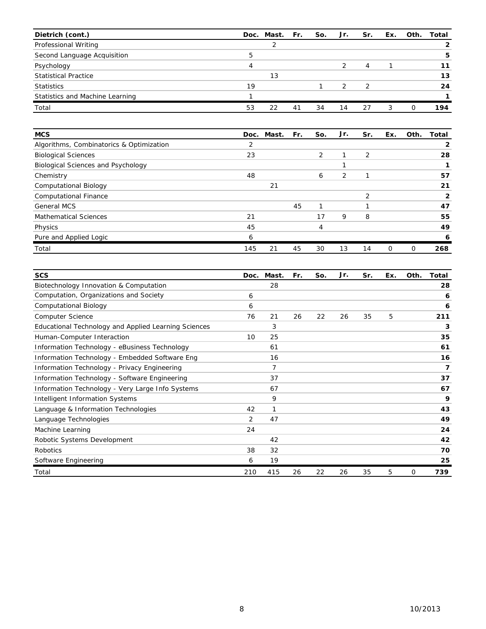| Dietrich (cont.)                |    | Doc. Mast. Fr. |    | So. | Jr. | Sr.           | Ex. | Oth.     | Total |
|---------------------------------|----|----------------|----|-----|-----|---------------|-----|----------|-------|
| Professional Writing            |    |                |    |     |     |               |     |          |       |
| Second Language Acquisition     | 5  |                |    |     |     |               |     |          | 5     |
| Psychology                      | 4  |                |    |     |     | 4             |     |          |       |
| <b>Statistical Practice</b>     |    | 13             |    |     |     |               |     |          | 13    |
| <b>Statistics</b>               | 19 |                |    |     | っ   | $\mathcal{P}$ |     |          | 24    |
| Statistics and Machine Learning |    |                |    |     |     |               |     |          |       |
| Total                           | 53 | 22             | 41 | 34  | 14  | 27            | 3   | $\Omega$ | 194   |

| <b>MCS</b>                               |     | Doc. Mast. | Fr. | So. | Jr. | Sr.            | Ex. | Oth. | Total |
|------------------------------------------|-----|------------|-----|-----|-----|----------------|-----|------|-------|
| Algorithms, Combinatorics & Optimization | 2   |            |     |     |     |                |     |      |       |
| <b>Biological Sciences</b>               | 23  |            |     | 2   | ำ   | 2              |     |      | 28    |
| Biological Sciences and Psychology       |     |            |     |     |     |                |     |      |       |
| Chemistry                                | 48  |            |     | 6   | 2   |                |     |      | 57    |
| <b>Computational Biology</b>             |     | 21         |     |     |     |                |     |      | 21    |
| <b>Computational Finance</b>             |     |            |     |     |     | $\overline{2}$ |     |      | 2     |
| <b>General MCS</b>                       |     |            | 45  |     |     |                |     |      | 47    |
| <b>Mathematical Sciences</b>             | 21  |            |     | 17  | 9   | 8              |     |      | 55    |
| Physics                                  | 45  |            |     | 4   |     |                |     |      | 49    |
| Pure and Applied Logic                   | 6   |            |     |     |     |                |     |      | 6     |
| Total                                    | 145 | 21         | 45  | 30  | 13  | 14             | 0   | 0    | 268   |

| <b>SCS</b>                                           | Doc. | Mast.          | Fr. | So. | Jr. | Sr. | Ex. | Oth. | Total |
|------------------------------------------------------|------|----------------|-----|-----|-----|-----|-----|------|-------|
| Biotechnology Innovation & Computation               |      | 28             |     |     |     |     |     |      | 28    |
| Computation, Organizations and Society               | 6    |                |     |     |     |     |     |      | 6     |
| Computational Biology                                | 6    |                |     |     |     |     |     |      | 6     |
| <b>Computer Science</b>                              | 76   | 21             | 26  | 22  | 26  | 35  | 5   |      | 211   |
| Educational Technology and Applied Learning Sciences |      | 3              |     |     |     |     |     |      | 3     |
| Human-Computer Interaction                           | 10   | 25             |     |     |     |     |     |      | 35    |
| Information Technology - eBusiness Technology        |      | 61             |     |     |     |     |     |      | 61    |
| Information Technology - Embedded Software Eng       |      | 16             |     |     |     |     |     |      | 16    |
| Information Technology - Privacy Engineering         |      | $\overline{7}$ |     |     |     |     |     |      | 7     |
| Information Technology - Software Engineering        |      | 37             |     |     |     |     |     |      | 37    |
| Information Technology - Very Large Info Systems     |      | 67             |     |     |     |     |     |      | 67    |
| <b>Intelligent Information Systems</b>               |      | 9              |     |     |     |     |     |      | 9     |
| Language & Information Technologies                  | 42   | 1              |     |     |     |     |     |      | 43    |
| Language Technologies                                | 2    | 47             |     |     |     |     |     |      | 49    |
| Machine Learning                                     | 24   |                |     |     |     |     |     |      | 24    |
| Robotic Systems Development                          |      | 42             |     |     |     |     |     |      | 42    |
| Robotics                                             | 38   | 32             |     |     |     |     |     |      | 70    |
| Software Engineering                                 | 6    | 19             |     |     |     |     |     |      | 25    |
| Total                                                | 210  | 415            | 26  | 22  | 26  | 35  | 5   | 0    | 739   |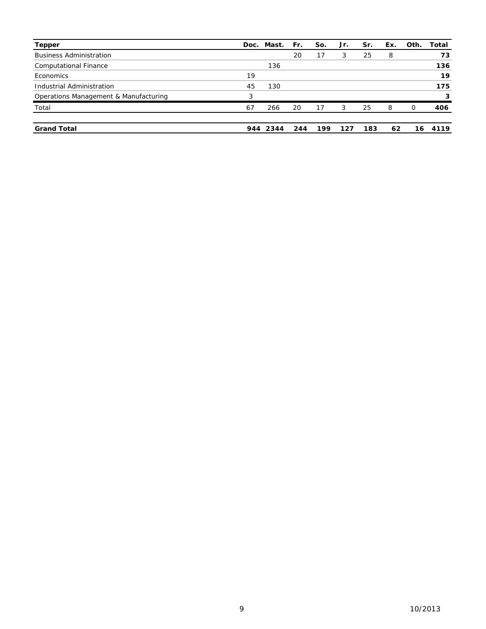| <b>Tepper</b>                         | Doc. | Mast.    | Fr. | So. | Jr. | Sr. | Ex. | Oth. | Total |
|---------------------------------------|------|----------|-----|-----|-----|-----|-----|------|-------|
| <b>Business Administration</b>        |      |          | 20  | 17  | 3   | 25  | 8   |      | 73    |
| <b>Computational Finance</b>          |      | 136      |     |     |     |     |     |      | 136   |
| Economics                             | 19   |          |     |     |     |     |     |      | 19    |
| Industrial Administration             | 45   | 130      |     |     |     |     |     |      | 175   |
| Operations Management & Manufacturing | 3    |          |     |     |     |     |     |      | 3     |
| Total                                 | 67   | 266      | 20  | 17  | 3   | 25  | 8   | 0    | 406   |
| <b>Grand Total</b>                    |      | 944 2344 | 244 | 199 | 127 | 183 | 62  | 16   | 4119  |